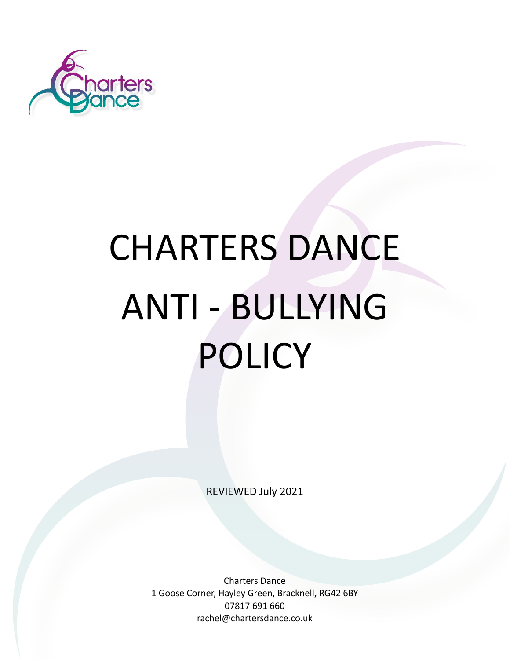

# CHARTERS DANCE ANTI - BULLYING POLICY

REVIEWED July 2021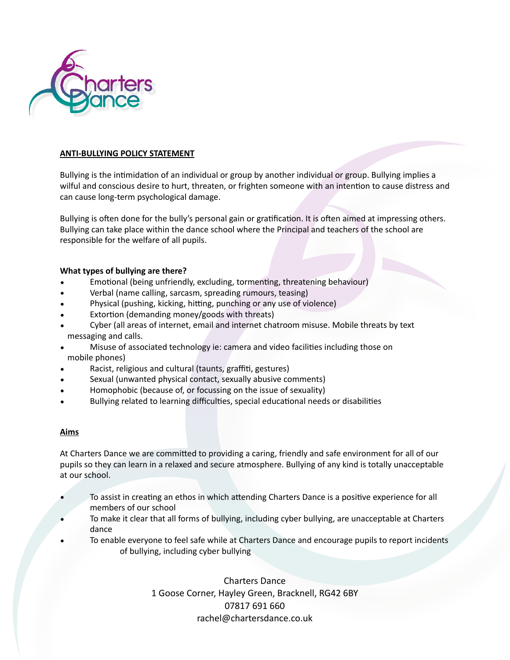

## **ANTI-BULLYING POLICY STATEMENT**

Bullying is the intimidation of an individual or group by another individual or group. Bullying implies a wilful and conscious desire to hurt, threaten, or frighten someone with an intention to cause distress and can cause long-term psychological damage.

Bullying is often done for the bully's personal gain or gratification. It is often aimed at impressing others. Bullying can take place within the dance school where the Principal and teachers of the school are responsible for the welfare of all pupils.

### **What types of bullying are there?**

- Emotional (being unfriendly, excluding, tormenting, threatening behaviour)
- Verbal (name calling, sarcasm, spreading rumours, teasing)
- Physical (pushing, kicking, hitting, punching or any use of violence)
- Extortion (demanding money/goods with threats)
- Cyber (all areas of internet, email and internet chatroom misuse. Mobile threats by text messaging and calls.
- Misuse of associated technology ie: camera and video facilities including those on mobile phones)
- Racist, religious and cultural (taunts, graffiti, gestures)
- Sexual (unwanted physical contact, sexually abusive comments)
- Homophobic (because of, or focussing on the issue of sexuality)
- Bullying related to learning difficulties, special educational needs or disabilities

#### **Aims**

At Charters Dance we are committed to providing a caring, friendly and safe environment for all of our pupils so they can learn in a relaxed and secure atmosphere. Bullying of any kind is totally unacceptable at our school.

- To assist in creating an ethos in which attending Charters Dance is a positive experience for all members of our school
- To make it clear that all forms of bullying, including cyber bullying, are unacceptable at Charters dance
- To enable everyone to feel safe while at Charters Dance and encourage pupils to report incidents of bullying, including cyber bullying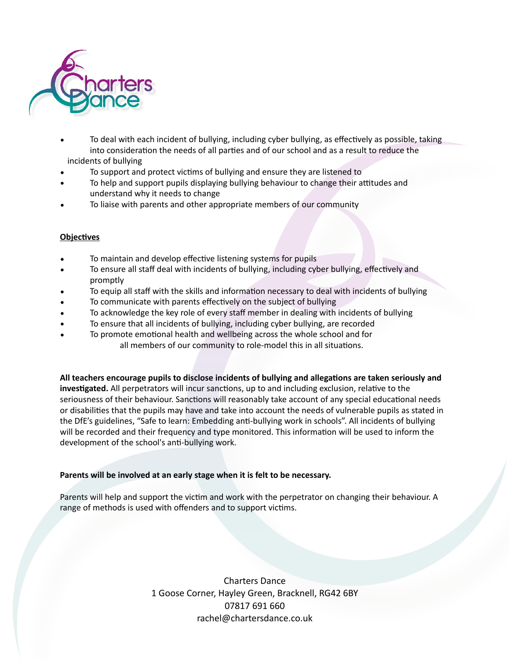

- To deal with each incident of bullying, including cyber bullying, as effectively as possible, taking into consideration the needs of all parties and of our school and as a result to reduce the incidents of bullying
- To support and protect victims of bullying and ensure they are listened to
- To help and support pupils displaying bullying behaviour to change their attitudes and understand why it needs to change
- To liaise with parents and other appropriate members of our community

### **Objectives**

- To maintain and develop effective listening systems for pupils
- To ensure all staff deal with incidents of bullying, including cyber bullying, effectively and promptly
- To equip all staff with the skills and information necessary to deal with incidents of bullying
- To communicate with parents effectively on the subject of bullying
- To acknowledge the key role of every staff member in dealing with incidents of bullying
- To ensure that all incidents of bullying, including cyber bullying, are recorded
- To promote emotional health and wellbeing across the whole school and for all members of our community to role-model this in all situations.

All teachers encourage pupils to disclose incidents of bullying and allegations are taken seriously and **investigated.** All perpetrators will incur sanctions, up to and including exclusion, relative to the seriousness of their behaviour. Sanctions will reasonably take account of any special educational needs or disabilities that the pupils may have and take into account the needs of vulnerable pupils as stated in the DfE's guidelines, "Safe to learn: Embedding anti-bullying work in schools". All incidents of bullying will be recorded and their frequency and type monitored. This information will be used to inform the development of the school's anti-bullying work.

#### **Parents will be involved at an early stage when it is felt to be necessary.**

Parents will help and support the victim and work with the perpetrator on changing their behaviour. A range of methods is used with offenders and to support victims.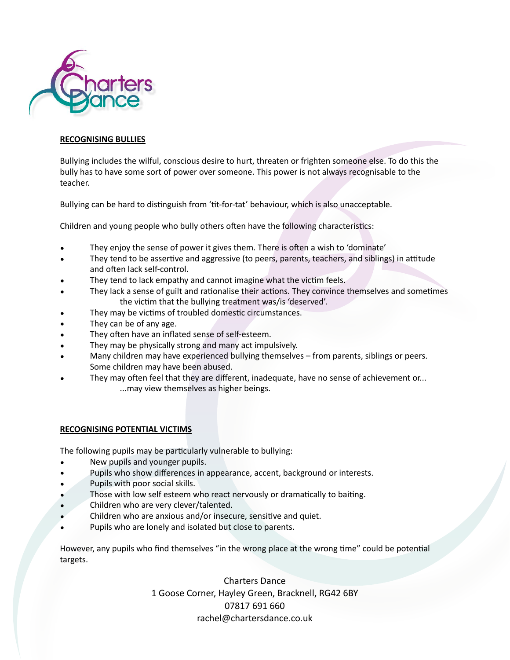

## **RECOGNISING BULLIES**

Bullying includes the wilful, conscious desire to hurt, threaten or frighten someone else. To do this the bully has to have some sort of power over someone. This power is not always recognisable to the teacher.

Bullying can be hard to distinguish from 'tit-for-tat' behaviour, which is also unacceptable.

Children and young people who bully others often have the following characteristics:

- They enjoy the sense of power it gives them. There is often a wish to 'dominate'
- They tend to be assertive and aggressive (to peers, parents, teachers, and siblings) in attitude and often lack self-control.
- They tend to lack empathy and cannot imagine what the victim feels.
- They lack a sense of guilt and rationalise their actions. They convince themselves and sometimes the victim that the bullying treatment was/is 'deserved'.
- They may be victims of troubled domestic circumstances.
- They can be of any age.
- They often have an inflated sense of self-esteem.
- They may be physically strong and many act impulsively.
- Many children may have experienced bullying themselves from parents, siblings or peers. Some children may have been abused.
- They may often feel that they are different, inadequate, have no sense of achievement or... ...may view themselves as higher beings.

# **RECOGNISING POTENTIAL VICTIMS**

The following pupils may be particularly vulnerable to bullying:

- New pupils and younger pupils.
- Pupils who show differences in appearance, accent, background or interests.
- Pupils with poor social skills.
- Those with low self esteem who react nervously or dramatically to baiting.
- Children who are very clever/talented.
- Children who are anxious and/or insecure, sensitive and quiet.
- Pupils who are lonely and isolated but close to parents.

However, any pupils who find themselves "in the wrong place at the wrong time" could be potential targets.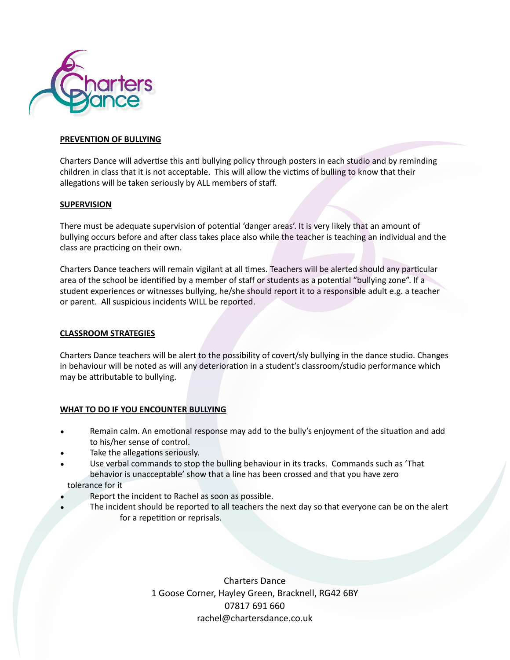

### **PREVENTION OF BULLYING**

Charters Dance will advertise this anti bullying policy through posters in each studio and by reminding children in class that it is not acceptable. This will allow the victims of bulling to know that their allegations will be taken seriously by ALL members of staff.

#### **SUPERVISION**

There must be adequate supervision of potential 'danger areas'. It is very likely that an amount of bullying occurs before and after class takes place also while the teacher is teaching an individual and the class are practicing on their own.

Charters Dance teachers will remain vigilant at all times. Teachers will be alerted should any particular area of the school be identified by a member of staff or students as a potential "bullying zone". If a student experiences or witnesses bullying, he/she should report it to a responsible adult e.g. a teacher or parent. All suspicious incidents WILL be reported.

## **CLASSROOM STRATEGIES**

Charters Dance teachers will be alert to the possibility of covert/sly bullying in the dance studio. Changes in behaviour will be noted as will any deterioration in a student's classroom/studio performance which may be attributable to bullying.

# **WHAT TO DO IF YOU ENCOUNTER BULLYING**

- Remain calm. An emotional response may add to the bully's enjoyment of the situation and add to his/her sense of control.
- Take the allegations seriously.
- Use verbal commands to stop the bulling behaviour in its tracks. Commands such as 'That behavior is unacceptable' show that a line has been crossed and that you have zero tolerance for it
- Report the incident to Rachel as soon as possible.
- The incident should be reported to all teachers the next day so that everyone can be on the alert for a repetition or reprisals.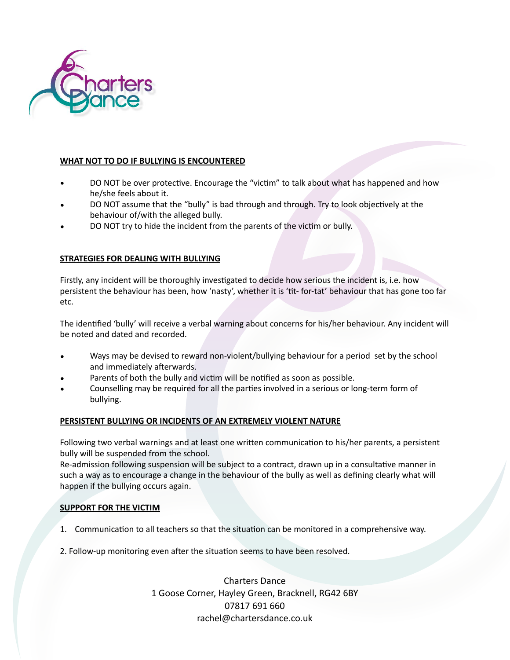

# **WHAT NOT TO DO IF BULLYING IS ENCOUNTERED**

- DO NOT be over protective. Encourage the "victim" to talk about what has happened and how he/she feels about it.
- DO NOT assume that the "bully" is bad through and through. Try to look objectively at the behaviour of/with the alleged bully.
- DO NOT try to hide the incident from the parents of the victim or bully.

# **STRATEGIES FOR DEALING WITH BULLYING**

Firstly, any incident will be thoroughly investigated to decide how serious the incident is, i.e. how persistent the behaviour has been, how 'nasty', whether it is 'tit- for-tat' behaviour that has gone too far etc.

The identified 'bully' will receive a verbal warning about concerns for his/her behaviour. Any incident will be noted and dated and recorded.

- Ways may be devised to reward non-violent/bullying behaviour for a period set by the school and immediately afterwards.
- Parents of both the bully and victim will be notified as soon as possible.
- Counselling may be required for all the parties involved in a serious or long-term form of bullying.

# **PERSISTENT BULLYING OR INCIDENTS OF AN EXTREMELY VIOLENT NATURE**

Following two verbal warnings and at least one written communication to his/her parents, a persistent bully will be suspended from the school.

Re-admission following suspension will be subject to a contract, drawn up in a consultative manner in such a way as to encourage a change in the behaviour of the bully as well as defining clearly what will happen if the bullying occurs again.

# **SUPPORT FOR THE VICTIM**

- 1. Communication to all teachers so that the situation can be monitored in a comprehensive way.
- 2. Follow-up monitoring even after the situation seems to have been resolved.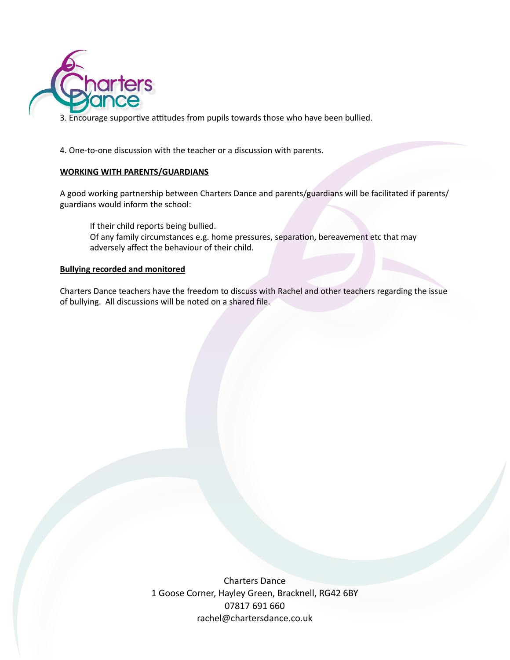

3. Encourage supportive attitudes from pupils towards those who have been bullied.

4. One-to-one discussion with the teacher or a discussion with parents.

# **WORKING WITH PARENTS/GUARDIANS**

A good working partnership between Charters Dance and parents/guardians will be facilitated if parents/ guardians would inform the school:

 If their child reports being bullied. Of any family circumstances e.g. home pressures, separation, bereavement etc that may adversely affect the behaviour of their child.

# **Bullying recorded and monitored**

Charters Dance teachers have the freedom to discuss with Rachel and other teachers regarding the issue of bullying. All discussions will be noted on a shared file.